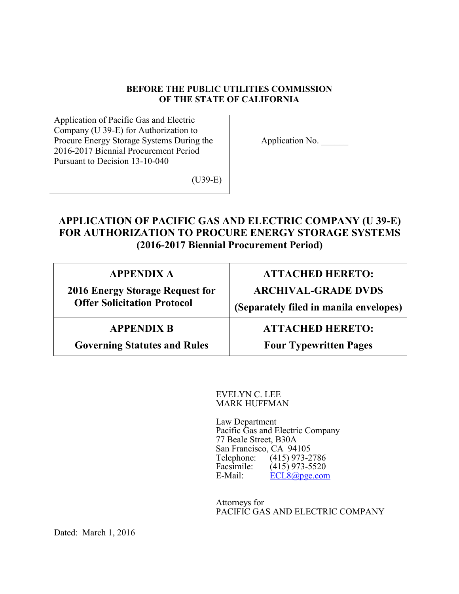## **BEFORE THE PUBLIC UTILITIES COMMISSION OF THE STATE OF CALIFORNIA**

Application of Pacific Gas and Electric Company (U 39-E) for Authorization to Procure Energy Storage Systems During the 2016-2017 Biennial Procurement Period Pursuant to Decision 13-10-040

Application No.

(U39-E)

# **APPLICATION OF PACIFIC GAS AND ELECTRIC COMPANY (U 39-E) FOR AUTHORIZATION TO PROCURE ENERGY STORAGE SYSTEMS (2016-2017 Biennial Procurement Period)**

| <b>APPENDIX A</b>                   | <b>ATTACHED HERETO:</b>                |
|-------------------------------------|----------------------------------------|
| 2016 Energy Storage Request for     | <b>ARCHIVAL-GRADE DVDS</b>             |
| <b>Offer Solicitation Protocol</b>  | (Separately filed in manila envelopes) |
| <b>APPENDIX B</b>                   | <b>ATTACHED HERETO:</b>                |
| <b>Governing Statutes and Rules</b> | <b>Four Typewritten Pages</b>          |

EVELYN C. LEE MARK HUFFMAN

Law Department Pacific Gas and Electric Company 77 Beale Street, B30A San Francisco, CA 94105 Telephone: (415) 973-2786<br>Facsimile: (415) 973-5520  $(415)$  973-5520 E-Mail: ECL8@pge.com

Attorneys for PACIFIC GAS AND ELECTRIC COMPANY

Dated: March 1, 2016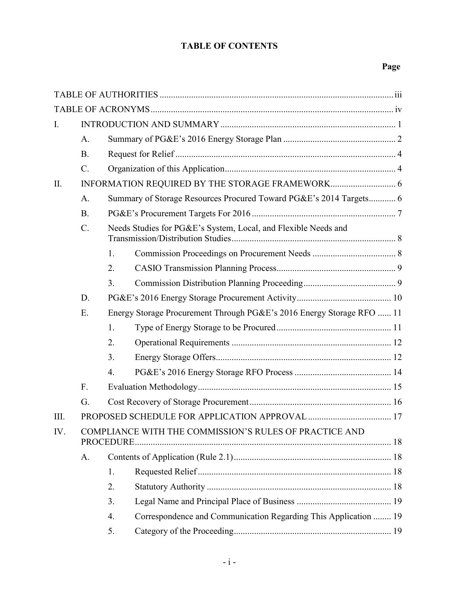# **TABLE OF CONTENTS**

# **Page**

| I.   |                 |                  |                                                                       |  |
|------|-----------------|------------------|-----------------------------------------------------------------------|--|
|      | $A$ .           |                  |                                                                       |  |
|      | B.              |                  |                                                                       |  |
|      | $\mathcal{C}$ . |                  |                                                                       |  |
| II.  |                 |                  |                                                                       |  |
|      | A.              |                  | Summary of Storage Resources Procured Toward PG&E's 2014 Targets 6    |  |
|      | B.              |                  |                                                                       |  |
|      | $\mathcal{C}$ . |                  | Needs Studies for PG&E's System, Local, and Flexible Needs and        |  |
|      |                 | 1.               |                                                                       |  |
|      |                 | 2.               |                                                                       |  |
|      |                 | 3 <sub>1</sub>   |                                                                       |  |
|      | D.              |                  |                                                                       |  |
|      | E.              |                  | Energy Storage Procurement Through PG&E's 2016 Energy Storage RFO  11 |  |
|      |                 | 1.               |                                                                       |  |
|      |                 | 2.               |                                                                       |  |
|      |                 | 3.               |                                                                       |  |
|      |                 | $\overline{4}$ . |                                                                       |  |
|      | F.              |                  |                                                                       |  |
|      | G.              |                  |                                                                       |  |
| III. |                 |                  |                                                                       |  |
| IV.  |                 |                  | COMPLIANCE WITH THE COMMISSION'S RULES OF PRACTICE AND                |  |
|      | A.              |                  |                                                                       |  |
|      |                 | 1.               |                                                                       |  |
|      |                 | 2.               |                                                                       |  |
|      |                 | 3.               |                                                                       |  |
|      |                 | $\overline{4}$ . | Correspondence and Communication Regarding This Application  19       |  |
|      |                 | 5.               |                                                                       |  |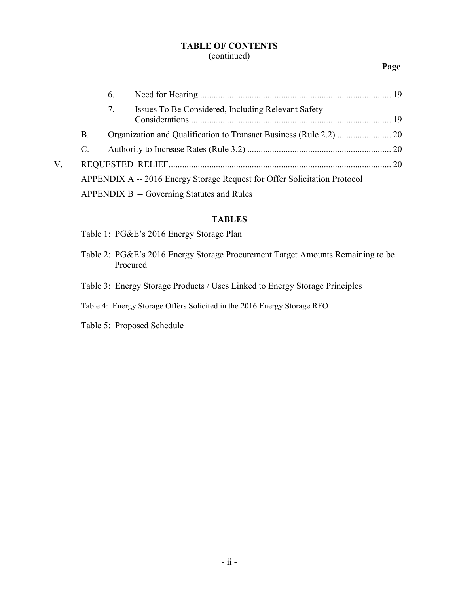## **TABLE OF CONTENTS** (continued)

## **Page**

|    |    | 6. |                                                                           |  |
|----|----|----|---------------------------------------------------------------------------|--|
|    |    | 7. | Issues To Be Considered, Including Relevant Safety                        |  |
|    | Β. |    |                                                                           |  |
|    | C. |    |                                                                           |  |
| V. |    |    |                                                                           |  |
|    |    |    | APPENDIX A -- 2016 Energy Storage Request for Offer Solicitation Protocol |  |
|    |    |    | APPENDIX B -- Governing Statutes and Rules                                |  |

## **TABLES**

- Table 1: PG&E's 2016 Energy Storage Plan
- Table 2: PG&E's 2016 Energy Storage Procurement Target Amounts Remaining to be Procured
- Table 3: Energy Storage Products / Uses Linked to Energy Storage Principles
- Table 4: Energy Storage Offers Solicited in the 2016 Energy Storage RFO
- Table 5: Proposed Schedule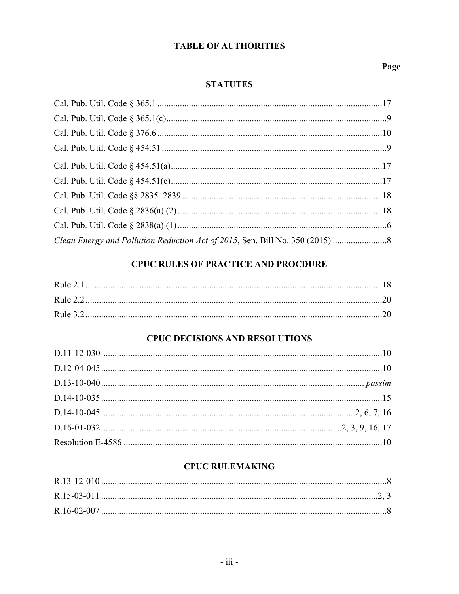# **TABLE OF AUTHORITIES**

# Page

# **STATUTES**

| Clean Energy and Pollution Reduction Act of 2015, Sen. Bill No. 350 (2015) |  |
|----------------------------------------------------------------------------|--|

# **CPUC RULES OF PRACTICE AND PROCDURE**

| Rule $21$ |  |
|-----------|--|
|           |  |
|           |  |

# **CPUC DECISIONS AND RESOLUTIONS**

# **CPUC RULEMAKING**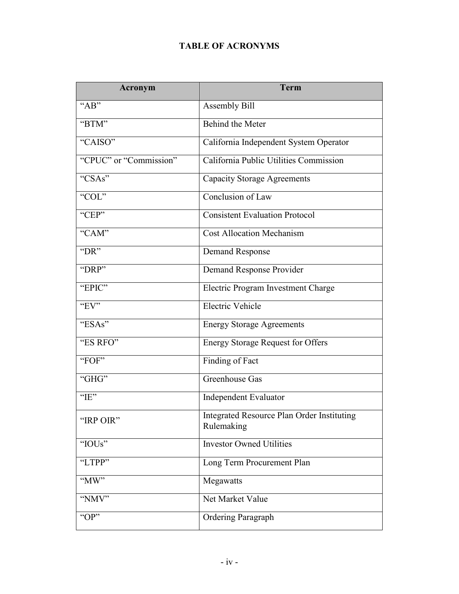# **TABLE OF ACRONYMS**

| Acronym                | <b>Term</b>                                              |  |
|------------------------|----------------------------------------------------------|--|
| " $AB"$                | Assembly Bill                                            |  |
| "BTM"                  | Behind the Meter                                         |  |
| "CAISO"                | California Independent System Operator                   |  |
| "CPUC" or "Commission" | California Public Utilities Commission                   |  |
| "CSAs"                 | <b>Capacity Storage Agreements</b>                       |  |
| "COL"                  | Conclusion of Law                                        |  |
| "CEP"                  | <b>Consistent Evaluation Protocol</b>                    |  |
| "CAM"                  | <b>Cost Allocation Mechanism</b>                         |  |
| "DR"                   | <b>Demand Response</b>                                   |  |
| "DRP"                  | Demand Response Provider                                 |  |
| "EPIC"                 | Electric Program Investment Charge                       |  |
| "EV"                   | <b>Electric Vehicle</b>                                  |  |
| "ESAs"                 | <b>Energy Storage Agreements</b>                         |  |
| "ES RFO"               | <b>Energy Storage Request for Offers</b>                 |  |
| "FOF"                  | Finding of Fact                                          |  |
| "GHG"                  | Greenhouse Gas                                           |  |
| " $IE$ "               | <b>Independent Evaluator</b>                             |  |
| "IRP OIR"              | Integrated Resource Plan Order Instituting<br>Rulemaking |  |
| "IOUs"                 | <b>Investor Owned Utilities</b>                          |  |
| "LTPP"                 | Long Term Procurement Plan                               |  |
| "MW"                   | Megawatts                                                |  |
| "NMV"                  | Net Market Value                                         |  |
| " $OP$ "               | Ordering Paragraph                                       |  |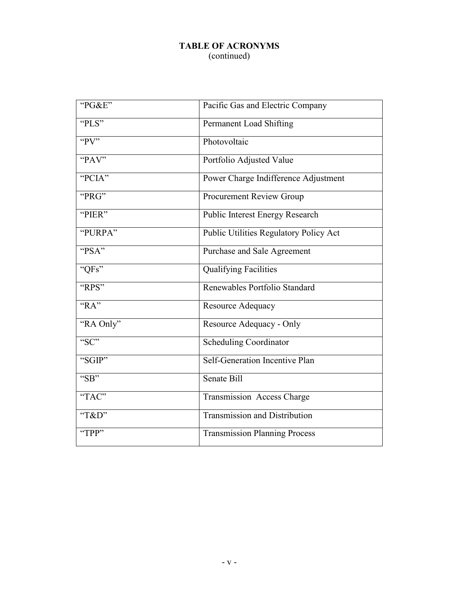# **TABLE OF ACRONYMS** (continued)

| "PG&E"             | Pacific Gas and Electric Company       |
|--------------------|----------------------------------------|
| "PLS"              | Permanent Load Shifting                |
| "PV"               | Photovoltaic                           |
| "PAV"              | Portfolio Adjusted Value               |
| "PCIA"             | Power Charge Indifference Adjustment   |
| "PRG"              | Procurement Review Group               |
| "PIER"             | <b>Public Interest Energy Research</b> |
| "PURPA"            | Public Utilities Regulatory Policy Act |
| "PSA"              | Purchase and Sale Agreement            |
| "QFs"              | <b>Qualifying Facilities</b>           |
| "RPS"              | Renewables Portfolio Standard          |
| $R^{\prime\prime}$ | Resource Adequacy                      |
| "RA Only"          | Resource Adequacy - Only               |
| " $SC$ "           | <b>Scheduling Coordinator</b>          |
| "SGIP"             | Self-Generation Incentive Plan         |
| "SB"               | Senate Bill                            |
| "TAC"              | Transmission Access Charge             |
| "T&D"              | <b>Transmission and Distribution</b>   |
| "TPP"              | <b>Transmission Planning Process</b>   |
|                    |                                        |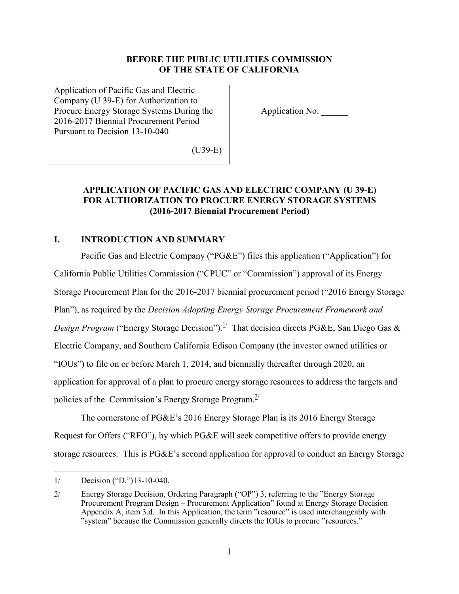## **BEFORE THE PUBLIC UTILITIES COMMISSION OF THE STATE OF CALIFORNIA**

Application of Pacific Gas and Electric Company (U 39-E) for Authorization to Procure Energy Storage Systems During the 2016-2017 Biennial Procurement Period Pursuant to Decision 13-10-040

Application No. \_\_\_\_\_\_

(U39-E)

## **APPLICATION OF PACIFIC GAS AND ELECTRIC COMPANY (U 39-E) FOR AUTHORIZATION TO PROCURE ENERGY STORAGE SYSTEMS (2016-2017 Biennial Procurement Period)**

## **I. INTRODUCTION AND SUMMARY**

Pacific Gas and Electric Company ("PG&E") files this application ("Application") for California Public Utilities Commission ("CPUC" or "Commission") approval of its Energy Storage Procurement Plan for the 2016-2017 biennial procurement period ("2016 Energy Storage Plan"), as required by the *Decision Adopting Energy Storage Procurement Framework and Design Program* ("Energy Storage Decision").<sup>1/</sup> That decision directs PG&E, San Diego Gas & Electric Company, and Southern California Edison Company (the investor owned utilities or "IOUs") to file on or before March 1, 2014, and biennially thereafter through 2020, an application for approval of a plan to procure energy storage resources to address the targets and policies of the Commission's Energy Storage Program.<sup>2</sup>

The cornerstone of PG&E's 2016 Energy Storage Plan is its 2016 Energy Storage Request for Offers ("RFO"), by which PG&E will seek competitive offers to provide energy storage resources. This is PG&E's second application for approval to conduct an Energy Storage

<sup>1/</sup> Decision ("D.")13-10-040.

<sup>2/</sup> Energy Storage Decision, Ordering Paragraph ("OP") 3, referring to the "Energy Storage Procurement Program Design – Procurement Application" found at Energy Storage Decision Appendix A, item 3.d. In this Application, the term "resource" is used interchangeably with "system" because the Commission generally directs the IOUs to procure "resources."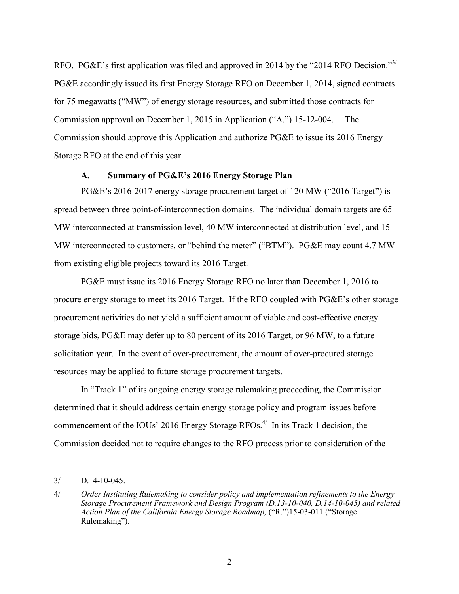RFO. PG&E's first application was filed and approved in 2014 by the "2014 RFO Decision." $\frac{3}{2}$ PG&E accordingly issued its first Energy Storage RFO on December 1, 2014, signed contracts for 75 megawatts ("MW") of energy storage resources, and submitted those contracts for Commission approval on December 1, 2015 in Application ("A.") 15-12-004. The Commission should approve this Application and authorize PG&E to issue its 2016 Energy Storage RFO at the end of this year.

#### **A. Summary of PG&E's 2016 Energy Storage Plan**

PG&E's 2016-2017 energy storage procurement target of 120 MW ("2016 Target") is spread between three point-of-interconnection domains. The individual domain targets are 65 MW interconnected at transmission level, 40 MW interconnected at distribution level, and 15 MW interconnected to customers, or "behind the meter" ("BTM"). PG&E may count 4.7 MW from existing eligible projects toward its 2016 Target.

PG&E must issue its 2016 Energy Storage RFO no later than December 1, 2016 to procure energy storage to meet its 2016 Target. If the RFO coupled with PG&E's other storage procurement activities do not yield a sufficient amount of viable and cost-effective energy storage bids, PG&E may defer up to 80 percent of its 2016 Target, or 96 MW, to a future solicitation year. In the event of over-procurement, the amount of over-procured storage resources may be applied to future storage procurement targets.

In "Track 1" of its ongoing energy storage rulemaking proceeding, the Commission determined that it should address certain energy storage policy and program issues before commencement of the IOUs' 2016 Energy Storage RFOs. $4$ <sup>/</sup> In its Track 1 decision, the Commission decided not to require changes to the RFO process prior to consideration of the

<sup>3/</sup> D.14-10-045.

<sup>4/</sup> *Order Instituting Rulemaking to consider policy and implementation refinements to the Energy Storage Procurement Framework and Design Program (D.13-10-040, D.14-10-045) and related Action Plan of the California Energy Storage Roadmap,* ("R.")15-03-011 ("Storage Rulemaking").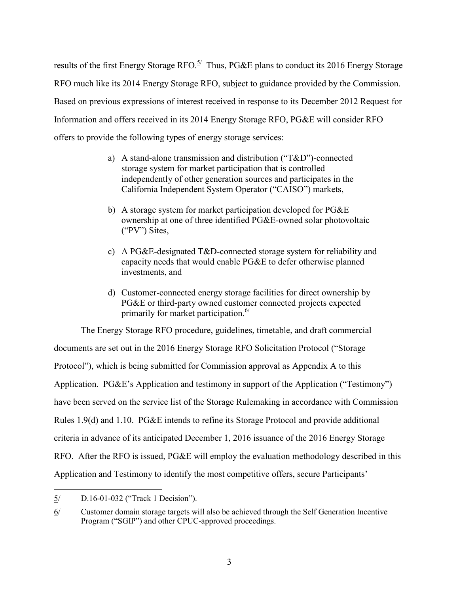results of the first Energy Storage RFO.<sup>5/</sup> Thus, PG&E plans to conduct its 2016 Energy Storage RFO much like its 2014 Energy Storage RFO, subject to guidance provided by the Commission. Based on previous expressions of interest received in response to its December 2012 Request for Information and offers received in its 2014 Energy Storage RFO, PG&E will consider RFO offers to provide the following types of energy storage services:

- a) A stand-alone transmission and distribution ("T&D")-connected storage system for market participation that is controlled independently of other generation sources and participates in the California Independent System Operator ("CAISO") markets,
- b) A storage system for market participation developed for PG&E ownership at one of three identified PG&E-owned solar photovoltaic ("PV") Sites,
- c) A PG&E-designated T&D-connected storage system for reliability and capacity needs that would enable PG&E to defer otherwise planned investments, and
- d) Customer-connected energy storage facilities for direct ownership by PG&E or third-party owned customer connected projects expected primarily for market participation.<sup>6/</sup>

The Energy Storage RFO procedure, guidelines, timetable, and draft commercial documents are set out in the 2016 Energy Storage RFO Solicitation Protocol ("Storage Protocol"), which is being submitted for Commission approval as Appendix A to this Application. PG&E's Application and testimony in support of the Application ("Testimony") have been served on the service list of the Storage Rulemaking in accordance with Commission Rules 1.9(d) and 1.10. PG&E intends to refine its Storage Protocol and provide additional criteria in advance of its anticipated December 1, 2016 issuance of the 2016 Energy Storage RFO. After the RFO is issued, PG&E will employ the evaluation methodology described in this Application and Testimony to identify the most competitive offers, secure Participants'

 $\overline{\phantom{a}}$ 5/ D.16-01-032 ("Track 1 Decision").

<sup>6/</sup> Customer domain storage targets will also be achieved through the Self Generation Incentive Program ("SGIP") and other CPUC-approved proceedings.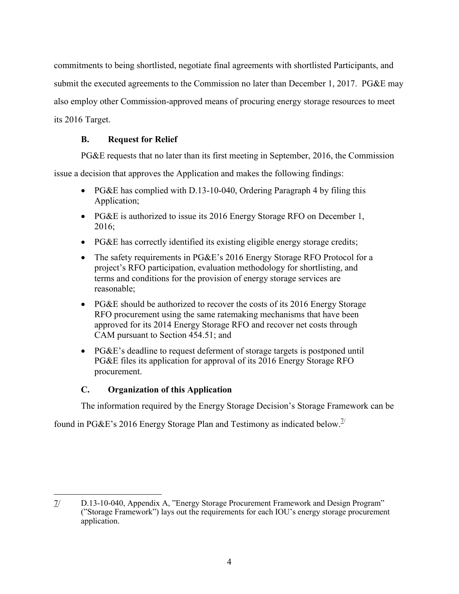commitments to being shortlisted, negotiate final agreements with shortlisted Participants, and submit the executed agreements to the Commission no later than December 1, 2017. PG&E may also employ other Commission-approved means of procuring energy storage resources to meet its 2016 Target.

# **B. Request for Relief**

PG&E requests that no later than its first meeting in September, 2016, the Commission

issue a decision that approves the Application and makes the following findings:

- PG&E has complied with D.13-10-040, Ordering Paragraph 4 by filing this Application;
- PG&E is authorized to issue its 2016 Energy Storage RFO on December 1, 2016;
- PG&E has correctly identified its existing eligible energy storage credits;
- The safety requirements in PG&E's 2016 Energy Storage RFO Protocol for a project's RFO participation, evaluation methodology for shortlisting, and terms and conditions for the provision of energy storage services are reasonable;
- PG&E should be authorized to recover the costs of its 2016 Energy Storage RFO procurement using the same ratemaking mechanisms that have been approved for its 2014 Energy Storage RFO and recover net costs through CAM pursuant to Section 454.51; and
- PG&E's deadline to request deferment of storage targets is postponed until PG&E files its application for approval of its 2016 Energy Storage RFO procurement.

# **C. Organization of this Application**

The information required by the Energy Storage Decision's Storage Framework can be

found in PG&E's 2016 Energy Storage Plan and Testimony as indicated below.<sup>1/</sup>

 $\overline{\phantom{a}}$ 7/ D.13-10-040, Appendix A, "Energy Storage Procurement Framework and Design Program" ("Storage Framework") lays out the requirements for each IOU's energy storage procurement application.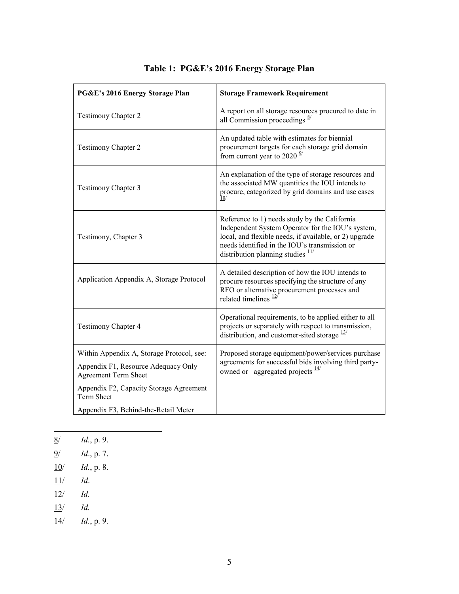| PG&E's 2016 Energy Storage Plan                              | <b>Storage Framework Requirement</b>                                                                                                                                                                                                                          |
|--------------------------------------------------------------|---------------------------------------------------------------------------------------------------------------------------------------------------------------------------------------------------------------------------------------------------------------|
| <b>Testimony Chapter 2</b>                                   | A report on all storage resources procured to date in<br>all Commission proceedings $\frac{8}{2}$                                                                                                                                                             |
| <b>Testimony Chapter 2</b>                                   | An updated table with estimates for biennial<br>procurement targets for each storage grid domain<br>from current year to 2020 $\frac{9}{2}$                                                                                                                   |
| <b>Testimony Chapter 3</b>                                   | An explanation of the type of storage resources and<br>the associated MW quantities the IOU intends to<br>procure, categorized by grid domains and use cases<br>$\overline{10}$                                                                               |
| Testimony, Chapter 3                                         | Reference to 1) needs study by the California<br>Independent System Operator for the IOU's system,<br>local, and flexible needs, if available, or 2) upgrade<br>needs identified in the IOU's transmission or<br>distribution planning studies $\frac{11}{2}$ |
| Application Appendix A, Storage Protocol                     | A detailed description of how the IOU intends to<br>procure resources specifying the structure of any<br>RFO or alternative procurement processes and<br>related timelines $\frac{12}{1}$                                                                     |
| <b>Testimony Chapter 4</b>                                   | Operational requirements, to be applied either to all<br>projects or separately with respect to transmission,<br>distribution, and customer-sited storage $\frac{13}{2}$                                                                                      |
| Within Appendix A, Storage Protocol, see:                    | Proposed storage equipment/power/services purchase                                                                                                                                                                                                            |
| Appendix F1, Resource Adequacy Only<br>Agreement Term Sheet  | agreements for successful bids involving third party-<br>owned or –aggregated projects $\frac{14}{3}$                                                                                                                                                         |
| Appendix F2, Capacity Storage Agreement<br><b>Term Sheet</b> |                                                                                                                                                                                                                                                               |
| Appendix F3, Behind-the-Retail Meter                         |                                                                                                                                                                                                                                                               |

# **Table 1: PG&E's 2016 Energy Storage Plan**

- $\frac{8}{ }$ 8/ *Id.*, p. 9.
- 9/ *Id*., p. 7.
- 10/ *Id.*, p. 8.
- 11/ *Id*.
- 12/ *Id.*
- 13/ *Id.*
- 14/ *Id.*, p. 9.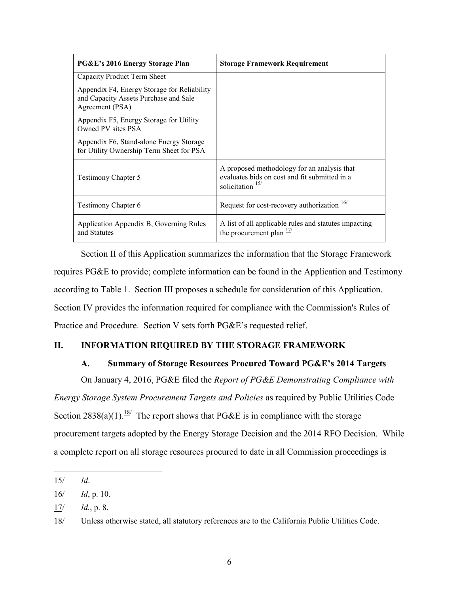| PG&E's 2016 Energy Storage Plan                                                                         | <b>Storage Framework Requirement</b>                                                                                        |
|---------------------------------------------------------------------------------------------------------|-----------------------------------------------------------------------------------------------------------------------------|
| Capacity Product Term Sheet                                                                             |                                                                                                                             |
| Appendix F4, Energy Storage for Reliability<br>and Capacity Assets Purchase and Sale<br>Agreement (PSA) |                                                                                                                             |
| Appendix F5, Energy Storage for Utility<br>Owned PV sites PSA                                           |                                                                                                                             |
| Appendix F6, Stand-alone Energy Storage<br>for Utility Ownership Term Sheet for PSA                     |                                                                                                                             |
| <b>Testimony Chapter 5</b>                                                                              | A proposed methodology for an analysis that<br>evaluates bids on cost and fit submitted in a<br>solicitation $\frac{15}{1}$ |
| <b>Testimony Chapter 6</b>                                                                              | Request for cost-recovery authorization $\frac{16}{10}$                                                                     |
| Application Appendix B, Governing Rules<br>and Statutes                                                 | A list of all applicable rules and statutes impacting<br>the procurement plan $\frac{17}{2}$                                |

Section II of this Application summarizes the information that the Storage Framework requires PG&E to provide; complete information can be found in the Application and Testimony according to Table 1. Section III proposes a schedule for consideration of this Application. Section IV provides the information required for compliance with the Commission's Rules of Practice and Procedure. Section V sets forth PG&E's requested relief.

## **II. INFORMATION REQUIRED BY THE STORAGE FRAMEWORK**

## **A. Summary of Storage Resources Procured Toward PG&E's 2014 Targets**

On January 4, 2016, PG&E filed the *Report of PG&E Demonstrating Compliance with Energy Storage System Procurement Targets and Policies* as required by Public Utilities Code Section 2838(a)(1).<sup>18/</sup> The report shows that PG&E is in compliance with the storage procurement targets adopted by the Energy Storage Decision and the 2014 RFO Decision. While a complete report on all storage resources procured to date in all Commission proceedings is

 $\overline{\phantom{a}}$ 15/ *Id*.

<sup>16/</sup> *Id*, p. 10.

<sup>17/</sup> *Id.*, p. 8.

<sup>18/</sup> Unless otherwise stated, all statutory references are to the California Public Utilities Code.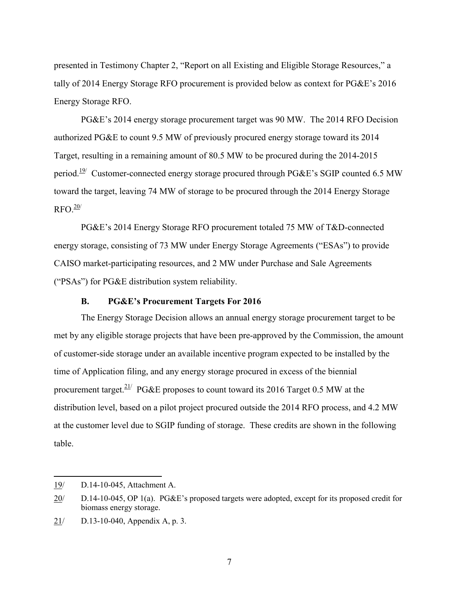presented in Testimony Chapter 2, "Report on all Existing and Eligible Storage Resources," a tally of 2014 Energy Storage RFO procurement is provided below as context for PG&E's 2016 Energy Storage RFO.

PG&E's 2014 energy storage procurement target was 90 MW. The 2014 RFO Decision authorized PG&E to count 9.5 MW of previously procured energy storage toward its 2014 Target, resulting in a remaining amount of 80.5 MW to be procured during the 2014-2015 period.<sup>19/</sup> Customer-connected energy storage procured through PG&E's SGIP counted 6.5 MW toward the target, leaving 74 MW of storage to be procured through the 2014 Energy Storage  $RFO.<sup>20/</sup>$ 

PG&E's 2014 Energy Storage RFO procurement totaled 75 MW of T&D-connected energy storage, consisting of 73 MW under Energy Storage Agreements ("ESAs") to provide CAISO market-participating resources, and 2 MW under Purchase and Sale Agreements ("PSAs") for PG&E distribution system reliability.

## **B. PG&E's Procurement Targets For 2016**

The Energy Storage Decision allows an annual energy storage procurement target to be met by any eligible storage projects that have been pre-approved by the Commission, the amount of customer-side storage under an available incentive program expected to be installed by the time of Application filing, and any energy storage procured in excess of the biennial procurement target.<sup>21/</sup> PG&E proposes to count toward its 2016 Target 0.5 MW at the distribution level, based on a pilot project procured outside the 2014 RFO process, and 4.2 MW at the customer level due to SGIP funding of storage. These credits are shown in the following table.

<sup>19/</sup> D.14-10-045, Attachment A.

<sup>20/</sup> D.14-10-045, OP 1(a). PG&E's proposed targets were adopted, except for its proposed credit for biomass energy storage.

<sup>21/</sup> D.13-10-040, Appendix A, p. 3.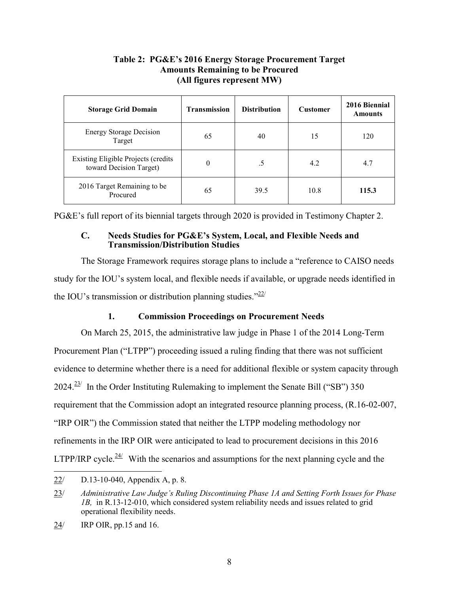## **Table 2: PG&E's 2016 Energy Storage Procurement Target Amounts Remaining to be Procured (All figures represent MW)**

| <b>Storage Grid Domain</b>                                            | <b>Transmission</b> | <b>Distribution</b> | <b>Customer</b> | 2016 Biennial<br><b>Amounts</b> |
|-----------------------------------------------------------------------|---------------------|---------------------|-----------------|---------------------------------|
| <b>Energy Storage Decision</b><br>Target                              | 65                  | 40                  | 15              | 120                             |
| <b>Existing Eligible Projects (credits</b><br>toward Decision Target) | $\theta$            | .5                  | 4.2             | 4.7                             |
| 2016 Target Remaining to be<br>Procured                               | 65                  | 39.5                | 10.8            | 115.3                           |

PG&E's full report of its biennial targets through 2020 is provided in Testimony Chapter 2.

## **C. Needs Studies for PG&E's System, Local, and Flexible Needs and Transmission/Distribution Studies**

The Storage Framework requires storage plans to include a "reference to CAISO needs study for the IOU's system local, and flexible needs if available, or upgrade needs identified in the IOU's transmission or distribution planning studies." $^{22/2}$ 

# **1. Commission Proceedings on Procurement Needs**

On March 25, 2015, the administrative law judge in Phase 1 of the 2014 Long-Term Procurement Plan ("LTPP") proceeding issued a ruling finding that there was not sufficient evidence to determine whether there is a need for additional flexible or system capacity through  $2024.<sup>23/</sup>$  In the Order Instituting Rulemaking to implement the Senate Bill ("SB") 350 requirement that the Commission adopt an integrated resource planning process, (R.16-02-007, "IRP OIR") the Commission stated that neither the LTPP modeling methodology nor refinements in the IRP OIR were anticipated to lead to procurement decisions in this 2016 LTPP/IRP cycle.<sup>24/</sup> With the scenarios and assumptions for the next planning cycle and the

<sup>22/</sup> D.13-10-040, Appendix A, p. 8.

<sup>23/</sup> *Administrative Law Judge's Ruling Discontinuing Phase 1A and Setting Forth Issues for Phase 1B,* in R.13-12-010, which considered system reliability needs and issues related to grid operational flexibility needs.

<sup>24/</sup> IRP OIR, pp.15 and 16.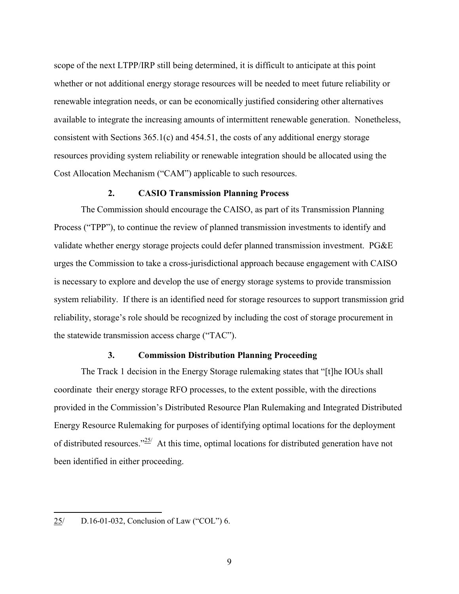scope of the next LTPP/IRP still being determined, it is difficult to anticipate at this point whether or not additional energy storage resources will be needed to meet future reliability or renewable integration needs, or can be economically justified considering other alternatives available to integrate the increasing amounts of intermittent renewable generation. Nonetheless, consistent with Sections 365.1(c) and 454.51, the costs of any additional energy storage resources providing system reliability or renewable integration should be allocated using the Cost Allocation Mechanism ("CAM") applicable to such resources.

#### **2. CASIO Transmission Planning Process**

The Commission should encourage the CAISO, as part of its Transmission Planning Process ("TPP"), to continue the review of planned transmission investments to identify and validate whether energy storage projects could defer planned transmission investment. PG&E urges the Commission to take a cross-jurisdictional approach because engagement with CAISO is necessary to explore and develop the use of energy storage systems to provide transmission system reliability. If there is an identified need for storage resources to support transmission grid reliability, storage's role should be recognized by including the cost of storage procurement in the statewide transmission access charge ("TAC").

#### **3. Commission Distribution Planning Proceeding**

The Track 1 decision in the Energy Storage rulemaking states that "[t]he IOUs shall coordinate their energy storage RFO processes, to the extent possible, with the directions provided in the Commission's Distributed Resource Plan Rulemaking and Integrated Distributed Energy Resource Rulemaking for purposes of identifying optimal locations for the deployment of distributed resources." $25/$  At this time, optimal locations for distributed generation have not been identified in either proceeding.

<sup>25/</sup> D.16-01-032, Conclusion of Law ("COL") 6.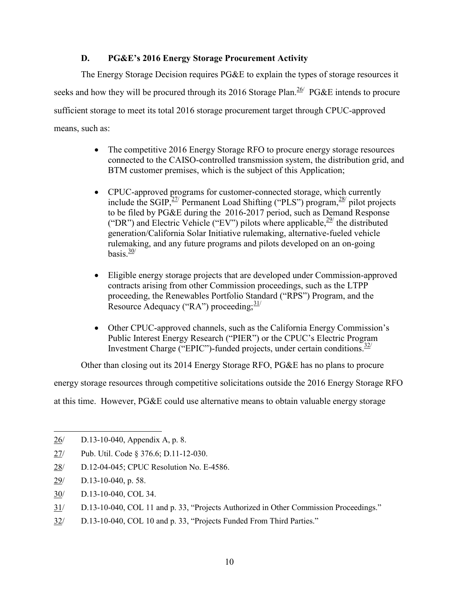# **D. PG&E's 2016 Energy Storage Procurement Activity**

The Energy Storage Decision requires PG&E to explain the types of storage resources it seeks and how they will be procured through its 2016 Storage Plan.  $26/$  PG&E intends to procure sufficient storage to meet its total 2016 storage procurement target through CPUC-approved means, such as:

- The competitive 2016 Energy Storage RFO to procure energy storage resources connected to the CAISO-controlled transmission system, the distribution grid, and BTM customer premises, which is the subject of this Application;
- CPUC-approved programs for customer-connected storage, which currently include the SGIP, $^{27/}$  Permanent Load Shifting ("PLS") program, $^{28/}$  pilot projects to be filed by PG&E during the 2016-2017 period, such as Demand Response ("DR") and Electric Vehicle ("EV") pilots where applicable,  $\frac{29}{2}$  the distributed generation/California Solar Initiative rulemaking, alternative-fueled vehicle rulemaking, and any future programs and pilots developed on an on-going basis. $\frac{30}{3}$
- Eligible energy storage projects that are developed under Commission-approved contracts arising from other Commission proceedings, such as the LTPP proceeding, the Renewables Portfolio Standard ("RPS") Program, and the Resource Adequacy ("RA") proceeding:  $\frac{31}{2}$
- Other CPUC-approved channels, such as the California Energy Commission's Public Interest Energy Research ("PIER") or the CPUC's Electric Program Investment Charge ("EPIC")-funded projects, under certain conditions.<sup>32/</sup>

Other than closing out its 2014 Energy Storage RFO, PG&E has no plans to procure

energy storage resources through competitive solicitations outside the 2016 Energy Storage RFO

at this time. However, PG&E could use alternative means to obtain valuable energy storage

28/ D.12-04-045; CPUC Resolution No. E-4586.

l

- 30/ D.13-10-040, COL 34.
- 31/ D.13-10-040, COL 11 and p. 33, "Projects Authorized in Other Commission Proceedings."
- 32/ D.13-10-040, COL 10 and p. 33, "Projects Funded From Third Parties."

<sup>26/</sup> D.13-10-040, Appendix A, p. 8.

<sup>27/</sup> Pub. Util. Code § 376.6; D.11-12-030.

<sup>29/</sup> D.13-10-040, p. 58.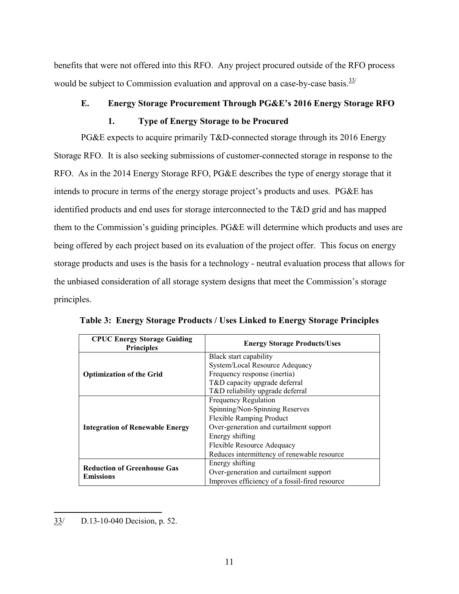benefits that were not offered into this RFO. Any project procured outside of the RFO process would be subject to Commission evaluation and approval on a case-by-case basis.<sup>33/</sup>

# **E. Energy Storage Procurement Through PG&E's 2016 Energy Storage RFO**

# **1. Type of Energy Storage to be Procured**

PG&E expects to acquire primarily T&D-connected storage through its 2016 Energy Storage RFO. It is also seeking submissions of customer-connected storage in response to the RFO. As in the 2014 Energy Storage RFO, PG&E describes the type of energy storage that it intends to procure in terms of the energy storage project's products and uses. PG&E has identified products and end uses for storage interconnected to the T&D grid and has mapped them to the Commission's guiding principles. PG&E will determine which products and uses are being offered by each project based on its evaluation of the project offer. This focus on energy storage products and uses is the basis for a technology - neutral evaluation process that allows for the unbiased consideration of all storage system designs that meet the Commission's storage principles.

| <b>CPUC Energy Storage Guiding</b><br><b>Principles</b> | <b>Energy Storage Products/Uses</b>            |
|---------------------------------------------------------|------------------------------------------------|
|                                                         | Black start capability                         |
|                                                         | System/Local Resource Adequacy                 |
| <b>Optimization of the Grid</b>                         | Frequency response (inertia)                   |
|                                                         | T&D capacity upgrade deferral                  |
|                                                         | T&D reliability upgrade deferral               |
|                                                         | <b>Frequency Regulation</b>                    |
|                                                         | Spinning/Non-Spinning Reserves                 |
|                                                         | <b>Flexible Ramping Product</b>                |
| <b>Integration of Renewable Energy</b>                  | Over-generation and curtailment support        |
|                                                         | Energy shifting                                |
|                                                         | Flexible Resource Adequacy                     |
|                                                         | Reduces intermittency of renewable resource    |
|                                                         | Energy shifting                                |
| <b>Reduction of Greenhouse Gas</b>                      | Over-generation and curtailment support        |
| <b>Emissions</b>                                        | Improves efficiency of a fossil-fired resource |

**Table 3: Energy Storage Products / Uses Linked to Energy Storage Principles**

 $\overline{\phantom{a}}$ 33/ D.13-10-040 Decision, p. 52.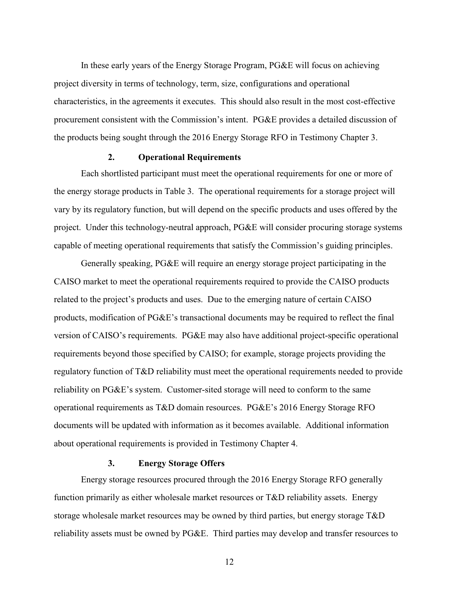In these early years of the Energy Storage Program, PG&E will focus on achieving project diversity in terms of technology, term, size, configurations and operational characteristics, in the agreements it executes. This should also result in the most cost-effective procurement consistent with the Commission's intent. PG&E provides a detailed discussion of the products being sought through the 2016 Energy Storage RFO in Testimony Chapter 3.

#### **2. Operational Requirements**

Each shortlisted participant must meet the operational requirements for one or more of the energy storage products in Table 3. The operational requirements for a storage project will vary by its regulatory function, but will depend on the specific products and uses offered by the project. Under this technology-neutral approach, PG&E will consider procuring storage systems capable of meeting operational requirements that satisfy the Commission's guiding principles.

Generally speaking, PG&E will require an energy storage project participating in the CAISO market to meet the operational requirements required to provide the CAISO products related to the project's products and uses. Due to the emerging nature of certain CAISO products, modification of PG&E's transactional documents may be required to reflect the final version of CAISO's requirements. PG&E may also have additional project-specific operational requirements beyond those specified by CAISO; for example, storage projects providing the regulatory function of T&D reliability must meet the operational requirements needed to provide reliability on PG&E's system. Customer-sited storage will need to conform to the same operational requirements as T&D domain resources. PG&E's 2016 Energy Storage RFO documents will be updated with information as it becomes available. Additional information about operational requirements is provided in Testimony Chapter 4.

#### **3. Energy Storage Offers**

Energy storage resources procured through the 2016 Energy Storage RFO generally function primarily as either wholesale market resources or T&D reliability assets. Energy storage wholesale market resources may be owned by third parties, but energy storage T&D reliability assets must be owned by PG&E. Third parties may develop and transfer resources to

12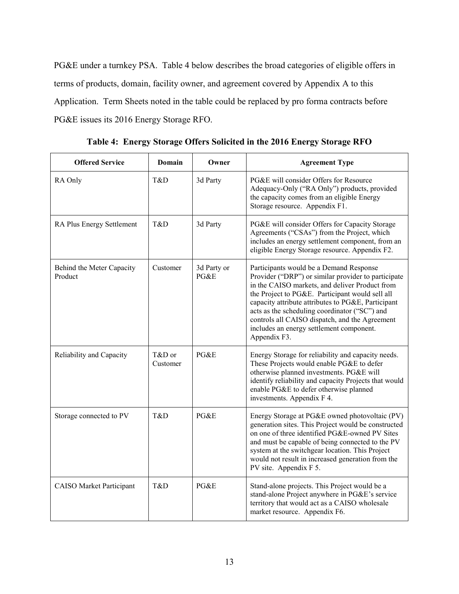PG&E under a turnkey PSA. Table 4 below describes the broad categories of eligible offers in terms of products, domain, facility owner, and agreement covered by Appendix A to this Application. Term Sheets noted in the table could be replaced by pro forma contracts before PG&E issues its 2016 Energy Storage RFO.

| <b>Offered Service</b>               | Domain             | Owner               | <b>Agreement Type</b>                                                                                                                                                                                                                                                                                                                                                                                                    |
|--------------------------------------|--------------------|---------------------|--------------------------------------------------------------------------------------------------------------------------------------------------------------------------------------------------------------------------------------------------------------------------------------------------------------------------------------------------------------------------------------------------------------------------|
| RA Only                              | T&D                | 3d Party            | PG&E will consider Offers for Resource<br>Adequacy-Only ("RA Only") products, provided<br>the capacity comes from an eligible Energy<br>Storage resource. Appendix F1.                                                                                                                                                                                                                                                   |
| RA Plus Energy Settlement            | T&D                | 3d Party            | PG&E will consider Offers for Capacity Storage<br>Agreements ("CSAs") from the Project, which<br>includes an energy settlement component, from an<br>eligible Energy Storage resource. Appendix F2.                                                                                                                                                                                                                      |
| Behind the Meter Capacity<br>Product | Customer           | 3d Party or<br>PGEE | Participants would be a Demand Response<br>Provider ("DRP") or similar provider to participate<br>in the CAISO markets, and deliver Product from<br>the Project to PG&E. Participant would sell all<br>capacity attribute attributes to PG&E, Participant<br>acts as the scheduling coordinator ("SC") and<br>controls all CAISO dispatch, and the Agreement<br>includes an energy settlement component.<br>Appendix F3. |
| Reliability and Capacity             | T&D or<br>Customer | PG&E                | Energy Storage for reliability and capacity needs.<br>These Projects would enable PG&E to defer<br>otherwise planned investments. PG&E will<br>identify reliability and capacity Projects that would<br>enable PG&E to defer otherwise planned<br>investments. Appendix F 4.                                                                                                                                             |
| Storage connected to PV              | T&D                | PG&E                | Energy Storage at PG&E owned photovoltaic (PV)<br>generation sites. This Project would be constructed<br>on one of three identified PG&E-owned PV Sites<br>and must be capable of being connected to the PV<br>system at the switchgear location. This Project<br>would not result in increased generation from the<br>PV site. Appendix F 5.                                                                            |
| <b>CAISO Market Participant</b>      | T&D                | PG&E                | Stand-alone projects. This Project would be a<br>stand-alone Project anywhere in PG&E's service<br>territory that would act as a CAISO wholesale<br>market resource. Appendix F6.                                                                                                                                                                                                                                        |

**Table 4: Energy Storage Offers Solicited in the 2016 Energy Storage RFO**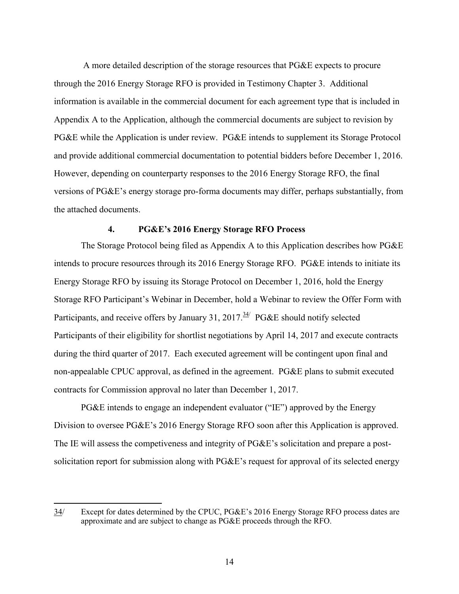A more detailed description of the storage resources that PG&E expects to procure through the 2016 Energy Storage RFO is provided in Testimony Chapter 3. Additional information is available in the commercial document for each agreement type that is included in Appendix A to the Application, although the commercial documents are subject to revision by PG&E while the Application is under review. PG&E intends to supplement its Storage Protocol and provide additional commercial documentation to potential bidders before December 1, 2016. However, depending on counterparty responses to the 2016 Energy Storage RFO, the final versions of PG&E's energy storage pro-forma documents may differ, perhaps substantially, from the attached documents.

#### **4. PG&E's 2016 Energy Storage RFO Process**

The Storage Protocol being filed as Appendix A to this Application describes how PG&E intends to procure resources through its 2016 Energy Storage RFO. PG&E intends to initiate its Energy Storage RFO by issuing its Storage Protocol on December 1, 2016, hold the Energy Storage RFO Participant's Webinar in December, hold a Webinar to review the Offer Form with Participants, and receive offers by January 31, 2017.<sup>34/</sup> PG&E should notify selected Participants of their eligibility for shortlist negotiations by April 14, 2017 and execute contracts during the third quarter of 2017. Each executed agreement will be contingent upon final and non-appealable CPUC approval, as defined in the agreement. PG&E plans to submit executed contracts for Commission approval no later than December 1, 2017.

PG&E intends to engage an independent evaluator ("IE") approved by the Energy Division to oversee PG&E's 2016 Energy Storage RFO soon after this Application is approved. The IE will assess the competiveness and integrity of PG&E's solicitation and prepare a postsolicitation report for submission along with PG&E's request for approval of its selected energy

<sup>34/</sup> Except for dates determined by the CPUC, PG&E's 2016 Energy Storage RFO process dates are approximate and are subject to change as PG&E proceeds through the RFO.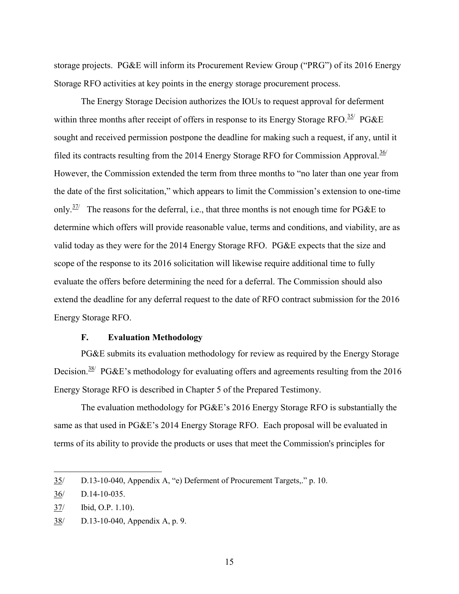storage projects. PG&E will inform its Procurement Review Group ("PRG") of its 2016 Energy Storage RFO activities at key points in the energy storage procurement process.

The Energy Storage Decision authorizes the IOUs to request approval for deferment within three months after receipt of offers in response to its Energy Storage RFO.<sup>35/</sup> PG&E sought and received permission postpone the deadline for making such a request, if any, until it filed its contracts resulting from the 2014 Energy Storage RFO for Commission Approval. $36/$ However, the Commission extended the term from three months to "no later than one year from the date of the first solicitation," which appears to limit the Commission's extension to one-time only.<sup>37/</sup> The reasons for the deferral, i.e., that three months is not enough time for PG&E to determine which offers will provide reasonable value, terms and conditions, and viability, are as valid today as they were for the 2014 Energy Storage RFO. PG&E expects that the size and scope of the response to its 2016 solicitation will likewise require additional time to fully evaluate the offers before determining the need for a deferral. The Commission should also extend the deadline for any deferral request to the date of RFO contract submission for the 2016 Energy Storage RFO.

#### **F. Evaluation Methodology**

PG&E submits its evaluation methodology for review as required by the Energy Storage Decision.<sup>38/</sup> PG&E's methodology for evaluating offers and agreements resulting from the 2016 Energy Storage RFO is described in Chapter 5 of the Prepared Testimony.

The evaluation methodology for PG&E's 2016 Energy Storage RFO is substantially the same as that used in PG&E's 2014 Energy Storage RFO. Each proposal will be evaluated in terms of its ability to provide the products or uses that meet the Commission's principles for

<sup>35/</sup> D.13-10-040, Appendix A, "e) Deferment of Procurement Targets,." p. 10.

<sup>36/</sup> D.14-10-035.

<sup>37/</sup> Ibid, O.P. 1.10).

<sup>38/</sup> D.13-10-040, Appendix A, p. 9.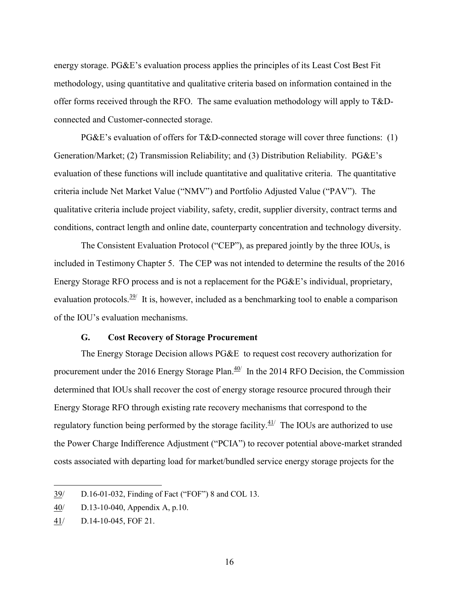energy storage. PG&E's evaluation process applies the principles of its Least Cost Best Fit methodology, using quantitative and qualitative criteria based on information contained in the offer forms received through the RFO. The same evaluation methodology will apply to T&Dconnected and Customer-connected storage.

PG&E's evaluation of offers for T&D-connected storage will cover three functions: (1) Generation/Market; (2) Transmission Reliability; and (3) Distribution Reliability. PG&E's evaluation of these functions will include quantitative and qualitative criteria. The quantitative criteria include Net Market Value ("NMV") and Portfolio Adjusted Value ("PAV"). The qualitative criteria include project viability, safety, credit, supplier diversity, contract terms and conditions, contract length and online date, counterparty concentration and technology diversity.

The Consistent Evaluation Protocol ("CEP"), as prepared jointly by the three IOUs, is included in Testimony Chapter 5. The CEP was not intended to determine the results of the 2016 Energy Storage RFO process and is not a replacement for the PG&E's individual, proprietary, evaluation protocols.<sup>39/</sup> It is, however, included as a benchmarking tool to enable a comparison of the IOU's evaluation mechanisms.

#### **G. Cost Recovery of Storage Procurement**

The Energy Storage Decision allows PG&E to request cost recovery authorization for procurement under the 2016 Energy Storage Plan. $\frac{40}{ }$  In the 2014 RFO Decision, the Commission determined that IOUs shall recover the cost of energy storage resource procured through their Energy Storage RFO through existing rate recovery mechanisms that correspond to the regulatory function being performed by the storage facility. $41/$  The IOUs are authorized to use the Power Charge Indifference Adjustment ("PCIA") to recover potential above-market stranded costs associated with departing load for market/bundled service energy storage projects for the

<sup>39/</sup> D.16-01-032, Finding of Fact ("FOF") 8 and COL 13.

<sup>40/</sup> D.13-10-040, Appendix A, p.10.

<sup>41/</sup> D.14-10-045, FOF 21.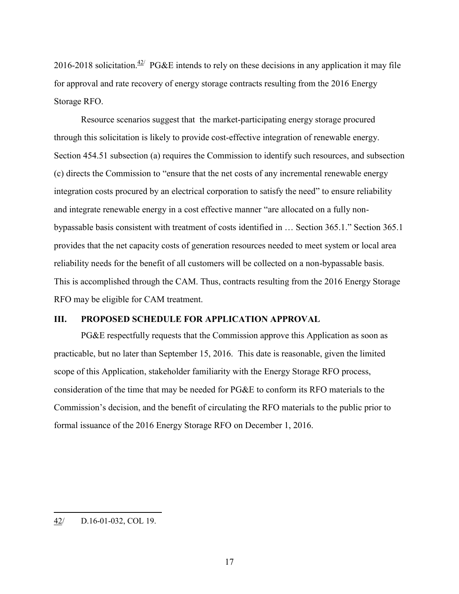2016-2018 solicitation.<sup> $42/$ </sup> PG&E intends to rely on these decisions in any application it may file for approval and rate recovery of energy storage contracts resulting from the 2016 Energy Storage RFO.

Resource scenarios suggest that the market-participating energy storage procured through this solicitation is likely to provide cost-effective integration of renewable energy. Section 454.51 subsection (a) requires the Commission to identify such resources, and subsection (c) directs the Commission to "ensure that the net costs of any incremental renewable energy integration costs procured by an electrical corporation to satisfy the need" to ensure reliability and integrate renewable energy in a cost effective manner "are allocated on a fully nonbypassable basis consistent with treatment of costs identified in … Section 365.1." Section 365.1 provides that the net capacity costs of generation resources needed to meet system or local area reliability needs for the benefit of all customers will be collected on a non-bypassable basis. This is accomplished through the CAM. Thus, contracts resulting from the 2016 Energy Storage RFO may be eligible for CAM treatment.

## **III. PROPOSED SCHEDULE FOR APPLICATION APPROVAL**

PG&E respectfully requests that the Commission approve this Application as soon as practicable, but no later than September 15, 2016. This date is reasonable, given the limited scope of this Application, stakeholder familiarity with the Energy Storage RFO process, consideration of the time that may be needed for PG&E to conform its RFO materials to the Commission's decision, and the benefit of circulating the RFO materials to the public prior to formal issuance of the 2016 Energy Storage RFO on December 1, 2016.

<sup>42/</sup> D.16-01-032, COL 19.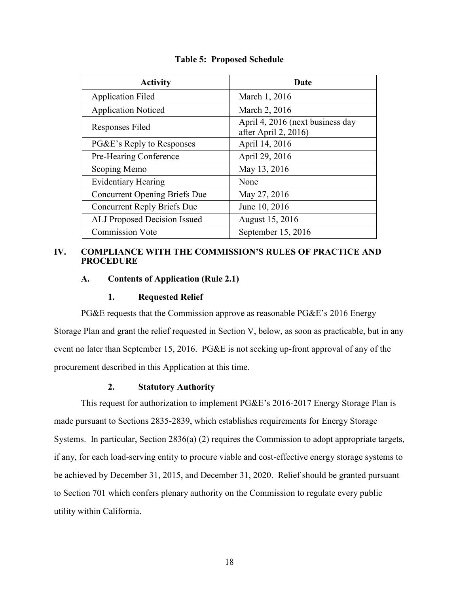| <b>Activity</b>                      | Date                                                     |
|--------------------------------------|----------------------------------------------------------|
| <b>Application Filed</b>             | March 1, 2016                                            |
| <b>Application Noticed</b>           | March 2, 2016                                            |
| Responses Filed                      | April 4, 2016 (next business day<br>after April 2, 2016) |
| PG&E's Reply to Responses            | April 14, 2016                                           |
| Pre-Hearing Conference               | April 29, 2016                                           |
| Scoping Memo                         | May 13, 2016                                             |
| <b>Evidentiary Hearing</b>           | None                                                     |
| <b>Concurrent Opening Briefs Due</b> | May 27, 2016                                             |
| Concurrent Reply Briefs Due          | June 10, 2016                                            |
| ALJ Proposed Decision Issued         | August 15, 2016                                          |
| <b>Commission Vote</b>               | September $15, 2016$                                     |

**Table 5: Proposed Schedule**

#### **IV. COMPLIANCE WITH THE COMMISSION'S RULES OF PRACTICE AND PROCEDURE**

#### **A. Contents of Application (Rule 2.1)**

#### **1. Requested Relief**

PG&E requests that the Commission approve as reasonable PG&E's 2016 Energy Storage Plan and grant the relief requested in Section V, below, as soon as practicable, but in any event no later than September 15, 2016. PG&E is not seeking up-front approval of any of the procurement described in this Application at this time.

#### **2. Statutory Authority**

This request for authorization to implement PG&E's 2016-2017 Energy Storage Plan is made pursuant to Sections 2835-2839, which establishes requirements for Energy Storage Systems. In particular, Section 2836(a) (2) requires the Commission to adopt appropriate targets, if any, for each load-serving entity to procure viable and cost-effective energy storage systems to be achieved by December 31, 2015, and December 31, 2020. Relief should be granted pursuant to Section 701 which confers plenary authority on the Commission to regulate every public utility within California.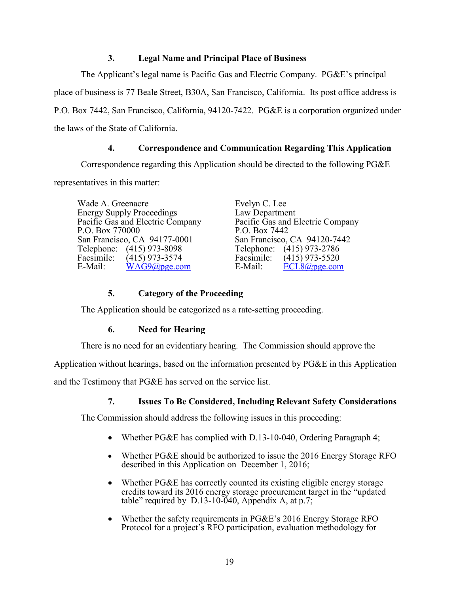## **3. Legal Name and Principal Place of Business**

The Applicant's legal name is Pacific Gas and Electric Company. PG&E's principal place of business is 77 Beale Street, B30A, San Francisco, California. Its post office address is P.O. Box 7442, San Francisco, California, 94120-7422. PG&E is a corporation organized under the laws of the State of California.

## **4. Correspondence and Communication Regarding This Application**

Correspondence regarding this Application should be directed to the following PG&E

representatives in this matter:

Wade A. Greenacre Energy Supply Proceedings Pacific Gas and Electric Company P.O. Box 770000 San Francisco, CA 94177-0001 Telephone: (415) 973-8098<br>Facsimile: (415) 973-3574 Facsimile:  $(415)$  973-3574<br>E-Mail: WAG9@pge.co  $WAG9@pge.com$ 

Evelyn C. Lee Law Department Pacific Gas and Electric Company P.O. Box 7442 San Francisco, CA 94120-7442 Telephone: (415) 973-2786<br>Facsimile: (415) 973-5520 Facsimile:  $(415)$  973-5520<br>E-Mail: ECL8@pge.com  $\text{ECL8}(a)$ pge.com

## **5. Category of the Proceeding**

The Application should be categorized as a rate-setting proceeding.

## **6. Need for Hearing**

There is no need for an evidentiary hearing. The Commission should approve the

Application without hearings, based on the information presented by PG&E in this Application

and the Testimony that PG&E has served on the service list.

## **7. Issues To Be Considered, Including Relevant Safety Considerations**

The Commission should address the following issues in this proceeding:

- Whether PG&E has complied with D.13-10-040, Ordering Paragraph 4;
- Whether PG&E should be authorized to issue the 2016 Energy Storage RFO described in this Application on December 1, 2016;
- Whether PG&E has correctly counted its existing eligible energy storage credits toward its 2016 energy storage procurement target in the "updated table" required by  $D.13-10-040$ , Appendix A, at p.7;
- Whether the safety requirements in PG&E's 2016 Energy Storage RFO Protocol for a project's RFO participation, evaluation methodology for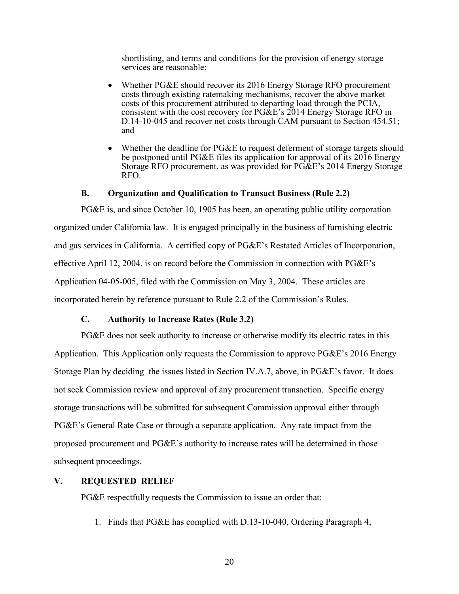shortlisting, and terms and conditions for the provision of energy storage services are reasonable;

- Whether PG&E should recover its 2016 Energy Storage RFO procurement costs through existing ratemaking mechanisms, recover the above market costs of this procurement attributed to departing load through the PCIA, consistent with the cost recovery for PG&E's 2014 Energy Storage RFO in D.14-10-045 and recover net costs through CAM pursuant to Section 454.51; and
- Whether the deadline for PG&E to request deferment of storage targets should be postponed until PG&E files its application for approval of its 2016 Energy Storage RFO procurement, as was provided for PG&E's 2014 Energy Storage RFO.

#### **B. Organization and Qualification to Transact Business (Rule 2.2)**

PG&E is, and since October 10, 1905 has been, an operating public utility corporation organized under California law. It is engaged principally in the business of furnishing electric and gas services in California. A certified copy of PG&E's Restated Articles of Incorporation, effective April 12, 2004, is on record before the Commission in connection with PG&E's Application 04-05-005, filed with the Commission on May 3, 2004. These articles are incorporated herein by reference pursuant to Rule 2.2 of the Commission's Rules.

#### **C. Authority to Increase Rates (Rule 3.2)**

PG&E does not seek authority to increase or otherwise modify its electric rates in this Application. This Application only requests the Commission to approve PG&E's 2016 Energy Storage Plan by deciding the issues listed in Section IV.A.7, above, in PG&E's favor. It does not seek Commission review and approval of any procurement transaction. Specific energy storage transactions will be submitted for subsequent Commission approval either through PG&E's General Rate Case or through a separate application. Any rate impact from the proposed procurement and PG&E's authority to increase rates will be determined in those subsequent proceedings.

#### **V. REQUESTED RELIEF**

PG&E respectfully requests the Commission to issue an order that:

1. Finds that PG&E has complied with D.13-10-040, Ordering Paragraph 4;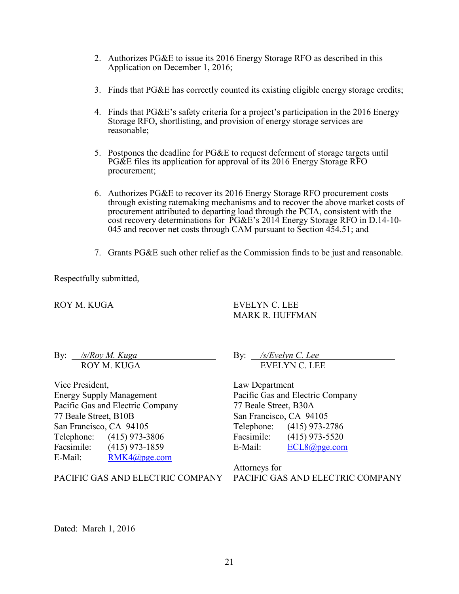- 2. Authorizes PG&E to issue its 2016 Energy Storage RFO as described in this Application on December 1, 2016;
- 3. Finds that PG&E has correctly counted its existing eligible energy storage credits;
- 4. Finds that PG&E's safety criteria for a project's participation in the 2016 Energy Storage RFO, shortlisting, and provision of energy storage services are reasonable;
- 5. Postpones the deadline for PG&E to request deferment of storage targets until PG&E files its application for approval of its 2016 Energy Storage RFO procurement;
- 6. Authorizes PG&E to recover its 2016 Energy Storage RFO procurement costs through existing ratemaking mechanisms and to recover the above market costs of procurement attributed to departing load through the PCIA, consistent with the cost recovery determinations for PG&E's 2014 Energy Storage RFO in D.14-10- 045 and recover net costs through CAM pursuant to Section 454.51; and
- 7. Grants PG&E such other relief as the Commission finds to be just and reasonable.

Respectfully submitted,

ROY M. KUGA

EVELYN C. LEE MARK R. HUFFMAN

By: */s/Roy M. Kuga* ROY M. KUGA

Vice President, Energy Supply Management Pacific Gas and Electric Company 77 Beale Street, B10B San Francisco, CA 94105 Telephone: (415) 973-3806 Facsimile: (415) 973-1859 E-Mail: RMK4@pge.com

PACIFIC GAS AND ELECTRIC COMPANY

By: */s/Evelyn C. Lee* EVELYN C. LEE

Law Department Pacific Gas and Electric Company 77 Beale Street, B30A San Francisco, CA 94105 Telephone: (415) 973-2786 Facsimile: (415) 973-5520 E-Mail: ECL8@pge.com

Attorneys for PACIFIC GAS AND ELECTRIC COMPANY

Dated: March 1, 2016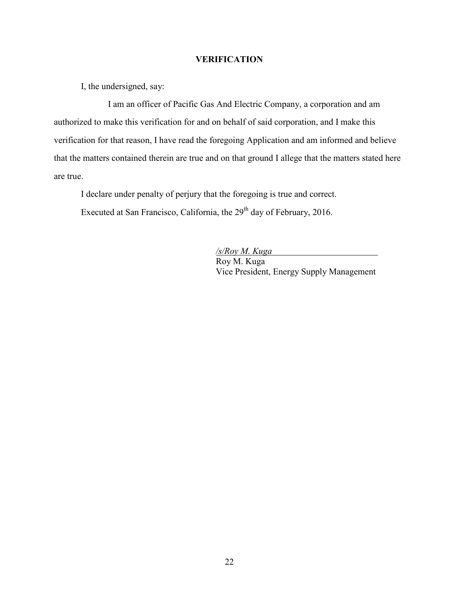#### **VERIFICATION**

I, the undersigned, say:

I am an officer of Pacific Gas And Electric Company, a corporation and am authorized to make this verification for and on behalf of said corporation, and I make this verification for that reason, I have read the foregoing Application and am informed and believe that the matters contained therein are true and on that ground I allege that the matters stated here are true.

I declare under penalty of perjury that the foregoing is true and correct.

Executed at San Francisco, California, the  $29<sup>th</sup>$  day of February, 2016.

*/s/Roy M. Kuga* Roy M. Kuga Vice President, Energy Supply Management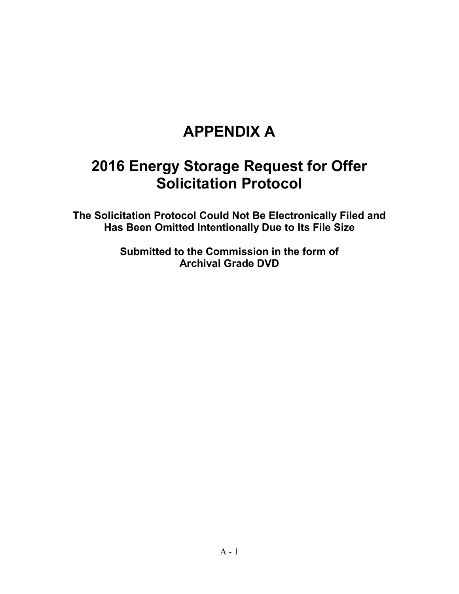# **APPENDIX A**

# **2016 Energy Storage Request for Offer Solicitation Protocol**

**The Solicitation Protocol Could Not Be Electronically Filed and Has Been Omitted Intentionally Due to Its File Size**

> **Submitted to the Commission in the form of Archival Grade DVD**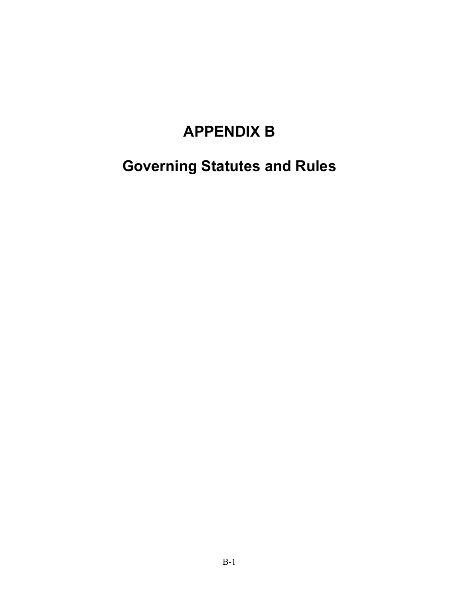# **APPENDIX B**

**Governing Statutes and Rules**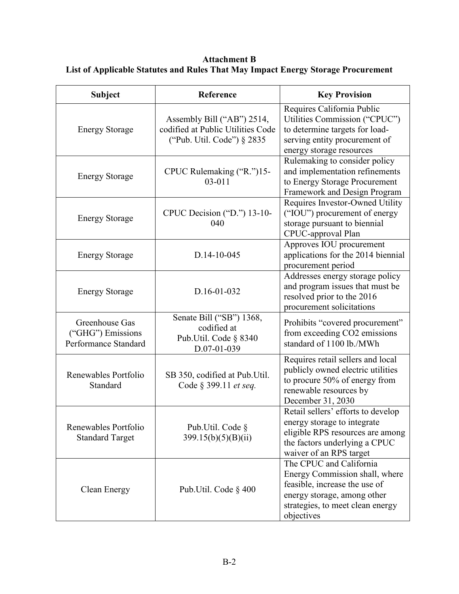**Attachment B List of Applicable Statutes and Rules That May Impact Energy Storage Procurement**

| <b>Subject</b>                                              | Reference                                                                                     | <b>Key Provision</b>                                                                                                                                                        |
|-------------------------------------------------------------|-----------------------------------------------------------------------------------------------|-----------------------------------------------------------------------------------------------------------------------------------------------------------------------------|
| <b>Energy Storage</b>                                       | Assembly Bill ("AB") 2514,<br>codified at Public Utilities Code<br>("Pub. Util. Code") § 2835 | Requires California Public<br>Utilities Commission ("CPUC")<br>to determine targets for load-<br>serving entity procurement of<br>energy storage resources                  |
| <b>Energy Storage</b>                                       | CPUC Rulemaking ("R.")15-<br>$03 - 011$                                                       | Rulemaking to consider policy<br>and implementation refinements<br>to Energy Storage Procurement<br>Framework and Design Program                                            |
| <b>Energy Storage</b>                                       | CPUC Decision ("D.") 13-10-<br>040                                                            | Requires Investor-Owned Utility<br>("IOU") procurement of energy<br>storage pursuant to biennial<br>CPUC-approval Plan                                                      |
| <b>Energy Storage</b>                                       | D.14-10-045                                                                                   | Approves IOU procurement<br>applications for the 2014 biennial<br>procurement period                                                                                        |
| <b>Energy Storage</b>                                       | D.16-01-032                                                                                   | Addresses energy storage policy<br>and program issues that must be<br>resolved prior to the 2016<br>procurement solicitations                                               |
| Greenhouse Gas<br>("GHG") Emissions<br>Performance Standard | Senate Bill ("SB") 1368,<br>codified at<br>Pub.Util. Code § 8340<br>D.07-01-039               | Prohibits "covered procurement"<br>from exceeding CO2 emissions<br>standard of 1100 lb./MWh                                                                                 |
| Renewables Portfolio<br>Standard                            | SB 350, codified at Pub. Util.<br>Code § 399.11 et seq.                                       | Requires retail sellers and local<br>publicly owned electric utilities<br>to procure 50% of energy from<br>renewable resources by<br>December 31, 2030                      |
| Renewables Portfolio<br><b>Standard Target</b>              | Pub.Util. Code §<br>399.15(b)(5)(B)(ii)                                                       | Retail sellers' efforts to develop<br>energy storage to integrate<br>eligible RPS resources are among<br>the factors underlying a CPUC<br>waiver of an RPS target           |
| Clean Energy                                                | Pub. Util. Code $\S$ 400                                                                      | The CPUC and California<br>Energy Commission shall, where<br>feasible, increase the use of<br>energy storage, among other<br>strategies, to meet clean energy<br>objectives |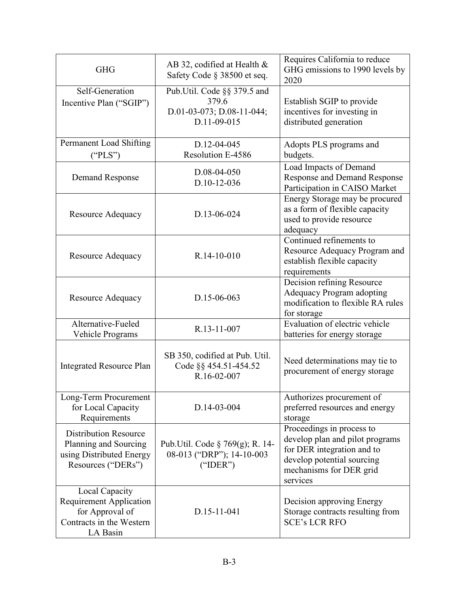| <b>GHG</b>                                                                                                  | AB 32, codified at Health $\&$<br>Safety Code § 38500 et seq.                    | Requires California to reduce<br>GHG emissions to 1990 levels by<br>2020                                                                                        |
|-------------------------------------------------------------------------------------------------------------|----------------------------------------------------------------------------------|-----------------------------------------------------------------------------------------------------------------------------------------------------------------|
| Self-Generation<br>Incentive Plan ("SGIP")                                                                  | Pub.Util. Code §§ 379.5 and<br>379.6<br>D.01-03-073; D.08-11-044;<br>D.11-09-015 | Establish SGIP to provide<br>incentives for investing in<br>distributed generation                                                                              |
| Permanent Load Shifting<br>("PLS")                                                                          | D.12-04-045<br>Resolution E-4586                                                 | Adopts PLS programs and<br>budgets.                                                                                                                             |
| Demand Response                                                                                             | D.08-04-050<br>$D.10-12-036$                                                     | Load Impacts of Demand<br><b>Response and Demand Response</b><br>Participation in CAISO Market                                                                  |
| <b>Resource Adequacy</b>                                                                                    | D.13-06-024                                                                      | Energy Storage may be procured<br>as a form of flexible capacity<br>used to provide resource<br>adequacy                                                        |
| <b>Resource Adequacy</b>                                                                                    | R.14-10-010                                                                      | Continued refinements to<br>Resource Adequacy Program and<br>establish flexible capacity<br>requirements                                                        |
| <b>Resource Adequacy</b>                                                                                    | D.15-06-063                                                                      | Decision refining Resource<br>Adequacy Program adopting<br>modification to flexible RA rules<br>for storage                                                     |
| Alternative-Fueled<br>Vehicle Programs                                                                      | R.13-11-007                                                                      | Evaluation of electric vehicle<br>batteries for energy storage                                                                                                  |
| <b>Integrated Resource Plan</b>                                                                             | SB 350, codified at Pub. Util.<br>Code §§ 454.51-454.52<br>R.16-02-007           | Need determinations may tie to<br>procurement of energy storage                                                                                                 |
| Long-Term Procurement<br>for Local Capacity<br>Requirements                                                 | D.14-03-004                                                                      | Authorizes procurement of<br>preferred resources and energy<br>storage                                                                                          |
| <b>Distribution Resource</b><br>Planning and Sourcing<br>using Distributed Energy<br>Resources ("DERs")     | Pub. Util. Code § 769(g); R. 14-<br>08-013 ("DRP"); 14-10-003<br>("TDER")        | Proceedings in process to<br>develop plan and pilot programs<br>for DER integration and to<br>develop potential sourcing<br>mechanisms for DER grid<br>services |
| Local Capacity<br><b>Requirement Application</b><br>for Approval of<br>Contracts in the Western<br>LA Basin | D.15-11-041                                                                      | Decision approving Energy<br>Storage contracts resulting from<br><b>SCE's LCR RFO</b>                                                                           |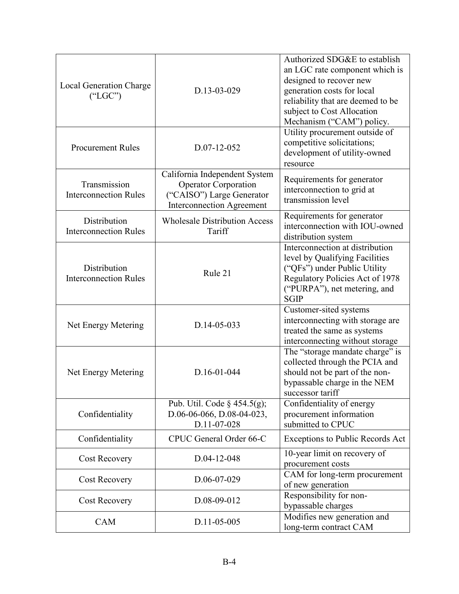| <b>Local Generation Charge</b><br>("LGC")    | D.13-03-029                                                                                                                   | Authorized SDG&E to establish<br>an LGC rate component which is<br>designed to recover new<br>generation costs for local<br>reliability that are deemed to be<br>subject to Cost Allocation<br>Mechanism ("CAM") policy. |
|----------------------------------------------|-------------------------------------------------------------------------------------------------------------------------------|--------------------------------------------------------------------------------------------------------------------------------------------------------------------------------------------------------------------------|
| <b>Procurement Rules</b>                     | D.07-12-052                                                                                                                   | Utility procurement outside of<br>competitive solicitations;<br>development of utility-owned<br>resource                                                                                                                 |
| Transmission<br><b>Interconnection Rules</b> | California Independent System<br><b>Operator Corporation</b><br>("CAISO") Large Generator<br><b>Interconnection Agreement</b> | Requirements for generator<br>interconnection to grid at<br>transmission level                                                                                                                                           |
| Distribution<br><b>Interconnection Rules</b> | <b>Wholesale Distribution Access</b><br>Tariff                                                                                | Requirements for generator<br>interconnection with IOU-owned<br>distribution system                                                                                                                                      |
| Distribution<br><b>Interconnection Rules</b> | Rule 21                                                                                                                       | Interconnection at distribution<br>level by Qualifying Facilities<br>("QFs") under Public Utility<br>Regulatory Policies Act of 1978<br>("PURPA"), net metering, and<br><b>SGIP</b>                                      |
| Net Energy Metering                          | D.14-05-033                                                                                                                   | Customer-sited systems<br>interconnecting with storage are<br>treated the same as systems<br>interconnecting without storage                                                                                             |
| Net Energy Metering                          | D.16-01-044                                                                                                                   | The "storage mandate charge" is<br>collected through the PCIA and<br>should not be part of the non-<br>bypassable charge in the NEM<br>successor tariff                                                                  |
| Confidentiality                              | Pub. Util. Code $\S$ 454.5(g);<br>D.06-06-066, D.08-04-023,<br>D.11-07-028                                                    | Confidentiality of energy<br>procurement information<br>submitted to CPUC                                                                                                                                                |
| Confidentiality                              | CPUC General Order 66-C                                                                                                       | Exceptions to Public Records Act                                                                                                                                                                                         |
| <b>Cost Recovery</b>                         | D.04-12-048                                                                                                                   | 10-year limit on recovery of<br>procurement costs                                                                                                                                                                        |
| <b>Cost Recovery</b>                         | D.06-07-029                                                                                                                   | CAM for long-term procurement<br>of new generation                                                                                                                                                                       |
| <b>Cost Recovery</b>                         | D.08-09-012                                                                                                                   | Responsibility for non-<br>bypassable charges                                                                                                                                                                            |
| <b>CAM</b>                                   | D.11-05-005                                                                                                                   | Modifies new generation and<br>long-term contract CAM                                                                                                                                                                    |